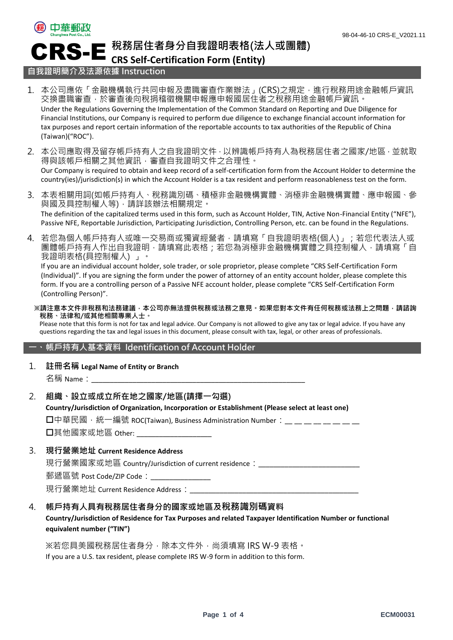

**稅務居住者身分自我證明表格(法人或團體)**

# **CRS Self-Certification Form (Entity)**

## **自我證明簡介及法源依據 Instruction**

CRS-E

- 1. 本公司應依「金融機構執行共同申報及盡職審查作業辦法」(CRS)之規定,進行稅務用途金融帳戶資訊 交換盡職審查,於審查後向稅捐稽徵機關申報應申報國居住者之稅務用途金融帳戶資訊。 Under the Regulations Governing the Implementation of the Common Standard on Reporting and Due Diligence for Financial Institutions, our Company is required to perform due diligence to exchange financial account information for tax purposes and report certain information of the reportable accounts to tax authorities of the Republic of China (Taiwan)("ROC").
- 2. 本公司應取得及留存帳戶持有人之自我證明文件,以辨識帳戶持有人為稅務居住者之國家/地區,並就取 得與該帳戶相關之其他資訊,審查自我證明文件之合理性。 Our Company is required to obtain and keep record of a self-certification form from the Account Holder to determine the country(ies)/jurisdiction(s) in which the Account Holder is a tax resident and perform reasonableness test on the form.
- 3. 本表相關用詞(如帳戶持有人、稅務識別碼、積極非金融機構實體、消極非金融機構實體、應申報國、參 與國及具控制權人等),請詳該辦法相關規定。 The definition of the capitalized terms used in this form, such as Account Holder, TIN, Active Non-Financial Entity ("NFE"), Passive NFE, Reportable Jurisdiction, Participating Jurisdiction, Controlling Person, etc. can be found in the Regulations.
- 4. 若您為個人帳戶持有人或唯一交易商或獨資經營者,請填寫「自我證明表格(個人)」;若您代表法人或 團體帳戶持有人作出自我證明,請填寫此表格;若您為消極非金融機構實體之具控制權人,請填寫「自 我證明表格(具控制權人) 」。

If you are an individual account holder, sole trader, or sole proprietor, please complete "CRS Self-Certification Form (Individual)". If you are signing the form under the power of attorney of an entity account holder, please complete this form. If you are a controlling person of a Passive NFE account holder, please complete "CRS Self-Certification Form (Controlling Person)".

**※請注意本文件非稅務和法務建議,本公司亦無法提供稅務或法務之意見。如果您對本文件有任何稅務或法務上之問題,請諮詢 稅務、法律和/或其他相關專業人士。**

Please note that this form is not for tax and legal advice. Our Company is not allowed to give any tax or legal advice. If you have any questions regarding the tax and legal issues in this document, please consult with tax, legal, or other areas of professionals.

#### **一、 帳戶持有人基本資料 Identification of Account Holder**

1. **註冊名稱 Legal Name of Entity or Branch**

名稱 Name:

- 2. **組織、設立或成立所在地之國家/地區(請擇一勾選) Country/Jurisdiction of Organization, Incorporation or Establishment (Please select at least one)** □中華民國, 統一編號 ROC(Taiwan), Business Administration Number: \_\_ \_\_ \_\_ \_\_ \_\_ \_\_ \_\_  $\Box$ 其他國家或地區 Other:
- 3. **現行營業地址 Current Residence Address** 現行營業國家或地區 Country/Jurisdiction of current residence:\_\_\_\_\_\_\_\_\_\_\_\_\_\_\_\_\_\_\_\_\_\_\_\_\_\_\_\_ 郵遞區號 Post Code/ZIP Code:\_\_\_\_

現行營業地址 Current Residence Address:

4. **帳戶持有人具有稅務居住者身分的國家或地區及稅務識別碼資料 Country/Jurisdiction of Residence for Tax Purposes and related Taxpayer Identification Number or functional equivalent number ("TIN")**

※若您具美國稅務居住者身分,除本文件外,尚須填寫 IRS W-9 表格。 If you are a U.S. tax resident, please complete IRS W-9 form in addition to this form.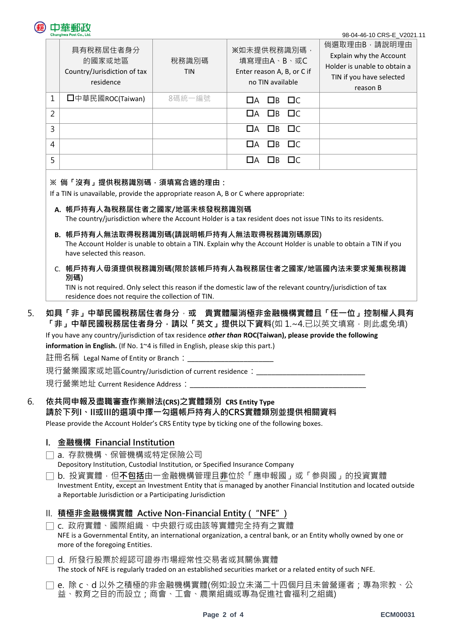#### 98-04-46-10 CRS-E\_V2021.11

|                          | 具有稅務居住者身分<br>的國家或地區<br>Country/Jurisdiction of tax<br>residence | 稅務識別碼<br><b>TIN</b> | ※如未提供稅務識別碼,<br>填寫理由A、B、或C<br>Enter reason A, B, or C if<br>no TIN available | 倘選取理由B,請說明理由<br>Explain why the Account<br>Holder is unable to obtain a<br>TIN if you have selected<br>reason B |
|--------------------------|-----------------------------------------------------------------|---------------------|-----------------------------------------------------------------------------|-----------------------------------------------------------------------------------------------------------------|
| 1                        | □中華民國ROC(Taiwan)                                                | 8碼統一編號              | $\Box$ B $\Box$ C<br>$\Box A$                                               |                                                                                                                 |
| $\overline{\phantom{a}}$ |                                                                 |                     | $\Box$ B $\Box$ C<br>$\Box$ A                                               |                                                                                                                 |
| 3                        |                                                                 |                     | $\Box A$ $\Box B$ $\Box C$                                                  |                                                                                                                 |
| 4                        |                                                                 |                     | $\Box$ B $\Box$ C<br>$\Box$ A                                               |                                                                                                                 |
| 5                        |                                                                 |                     | $\sqcap$ C<br>$\Box$<br>ПA                                                  |                                                                                                                 |

#### **※ 倘「沒有」提供稅務識別碼,須填寫合適的理由:**

If a TIN is unavailable, provide the appropriate reason A, B or C where appropriate:

**A. 帳戶持有人為稅務居住者之國家/地區未核發稅務識別碼**

The country/jurisdiction where the Account Holder is a tax resident does not issue TINs to its residents.

- **B. 帳戶持有人無法取得稅務識別碼(請說明帳戶持有人無法取得稅務識別碼原因)** The Account Holder is unable to obtain a TIN. Explain why the Account Holder is unable to obtain a TIN if you have selected this reason.
- C. **帳戶持有人毋須提供稅務識別碼(限於該帳戶持有人為稅務居住者之國家/地區國內法未要求蒐集稅務識 別碼)**

TIN is not required. Only select this reason if the domestic law of the relevant country/jurisdiction of tax residence does not require the collection of TIN.

## 5. **如具「非」中華民國稅務居住者身分**,**或 貴實體屬消極非金融機構實體且「任一位」控制權人具有** 「**非」中華民國稅務居住者身分,請以「英文」提供以下資料(**如 1.~4.已以英文填寫,則此處免填)

If you have any country/jurisdiction of tax residence *other than* **ROC(Taiwan), please provide the following** 

**information in English.** (If No. 1~4 is filled in English, please skip this part.)

註冊名稱 Legal Name of Entity or Branch:

現行營業國家或地區Country/Jurisdiction of current residence:

現行營業地址 Current Residence Address:

## 6. **依共同申報及盡職審查作業辦法(CRS)之實體類別 CRS Entity Type**

#### **請於下列I、II或III的選項中擇一勾選帳戶持有人的CRS實體類別並提供相關資料**

Please provide the Account Holder's CRS Entity type by ticking one of the following boxes.

## **I. 金融機構 Financial Institution**

- □ a. 存款機構、保管機構或特定保險公司 Depository Institution, Custodial Institution, or Specified Insurance Company
- □ b. 投資實體,但**不包括**由一金融機構管理且**非**位於「應申報國」或「参與國」的投資實體 Investment Entity, except an Investment Entity that is managed by another Financial Institution and located outside a Reportable Jurisdiction or a Participating Jurisdiction

## II. **積極非金融機構實體 Active Non-Financial Entity ("NFE")**

- □ c. 政府實體、國際組織、中央銀行或由該等實體完全持有之實體 NFE is a Governmental Entity, an international organization, a central bank, or an Entity wholly owned by one or more of the foregoing Entities.
- □ d. 所發行股票於經認可證券市場經常性交易者或其關係實體 The stock of NFE is regularly traded on an established securities market or a related entity of such NFE.
- □ e. 除 c、d 以外之積極的非金融機構實體(例如:設立未滿二十四個月且未曾營運者;專為宗教、公 益、教育之目的而設立;商會、工會、農業組織或專為促進社會福利之組織)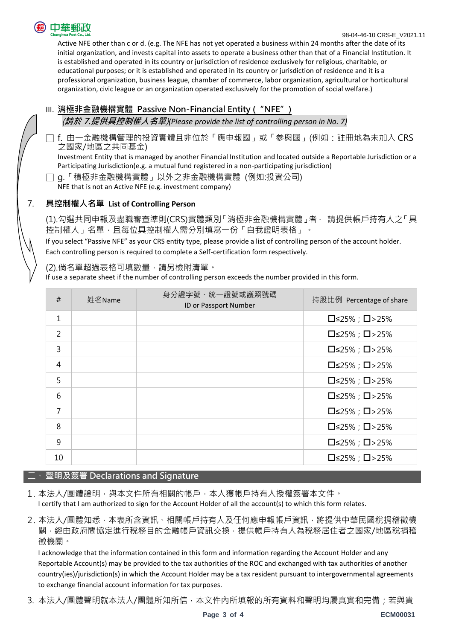

Active NFE other than c or d. (e.g. The NFE has not yet operated a business within 24 months after the date of its initial organization, and invests capital into assets to operate a business other than that of a Financial Institution. It is established and operated in its country or jurisdiction of residence exclusively for religious, charitable, or educational purposes; or it is established and operated in its country or jurisdiction of residence and it is a professional organization, business league, chamber of commerce, labor organization, agricultural or horticultural organization, civic league or an organization operated exclusively for the promotion of social welfare.)

## III. **消極非金融機構實體 Passive Non-Financial Entity ("NFE")**

(**請於 7.提供具控制權人名單**)*(Please provide the list of controlling person in No. 7)*

□ f. 由一金融機構管理的投資實體且非位於「應申報國」或「参與國」(例如:註冊地為未加入 CRS 之國家/地區之共同基金)

Investment Entity that is managed by another Financial Institution and located outside a Reportable Jurisdiction or a Participating Jurisdiction(e.g. a mutual fund registered in a non-participating jurisdiction)

□ g.「積極非金融機構實體」以外之非金融機構實體 (例如:投資公司)

NFE that is not an Active NFE (e.g. investment company)

## 7. **具控制權人名單 List of Controlling Person**

(1).勾選共同申報及盡職審查準則(CRS)實體類別「消極非金融機構實體」者, 請提供帳戶持有人之「具 控制權人」名單,目每位具控制權人需分別填寫一份「自我證明表格」。

If you select "Passive NFE" as your CRS entity type, please provide a list of controlling person of the account holder. Each controlling person is required to complete a Self-certification form respectively.

(2).倘名單超過表格可填數量,請另檢附清單。

If use a separate sheet if the number of controlling person exceeds the number provided in this form.

| #              | 姓名Name | 身分證字號、統一證號或護照號碼<br>ID or Passport Number | 持股比例 Percentage of share         |
|----------------|--------|------------------------------------------|----------------------------------|
| $\mathbf 1$    |        |                                          | $\square$ ≤25% ; $\square$ >25%  |
| $\overline{2}$ |        |                                          | $\square$ ≤25% ; $\square$ >25%  |
| 3              |        |                                          | $\square$ ≤25% ; $\square$ >25%  |
| $\overline{4}$ |        |                                          | $\square$ ≤25% ; $\square$ >25%  |
| 5              |        |                                          | $\square$ <25%; $\square$ > 25%  |
| 6              |        |                                          | $\square$ ≤25% ; $\square$ >25%  |
| 7              |        |                                          | $\square$ ≤25% ; $\square$ >25%  |
| 8              |        |                                          | $\square$ <25% ; $\square$ > 25% |
| 9              |        |                                          | $\square$ ≤25% ; $\square$ >25%  |
| 10             |        |                                          | $\square$ <25% ; $\square$ > 25% |

## 二、 **聲明及簽署 Declarations and Signature**

- 1. 本法人/團體證明‧與本文件所有相關的帳戶‧本人獲帳戶持有人授權簽署本文件。 I certify that I am authorized to sign for the Account Holder of all the account(s) to which this form relates.
- 2. 本法人/團體知悉,本表所含資訊、相關帳戶持有人及任何應申報帳戶資訊,將提供中華民國稅捐稽徵機 關,經由政府間協定進行稅務目的金融帳戶資訊交換,提供帳戶持有人為稅務居住者之國家/地區稅捐稽 徵機關。

I acknowledge that the information contained in this form and information regarding the Account Holder and any Reportable Account(s) may be provided to the tax authorities of the ROC and exchanged with tax authorities of another country(ies)/jurisdiction(s) in which the Account Holder may be a tax resident pursuant to intergovernmental agreements to exchange financial account information for tax purposes.

3. 本法人/團體聲明就本法人/團體所知所信,本文件內所填報的所有資料和聲明均屬真實和完備;若與貴